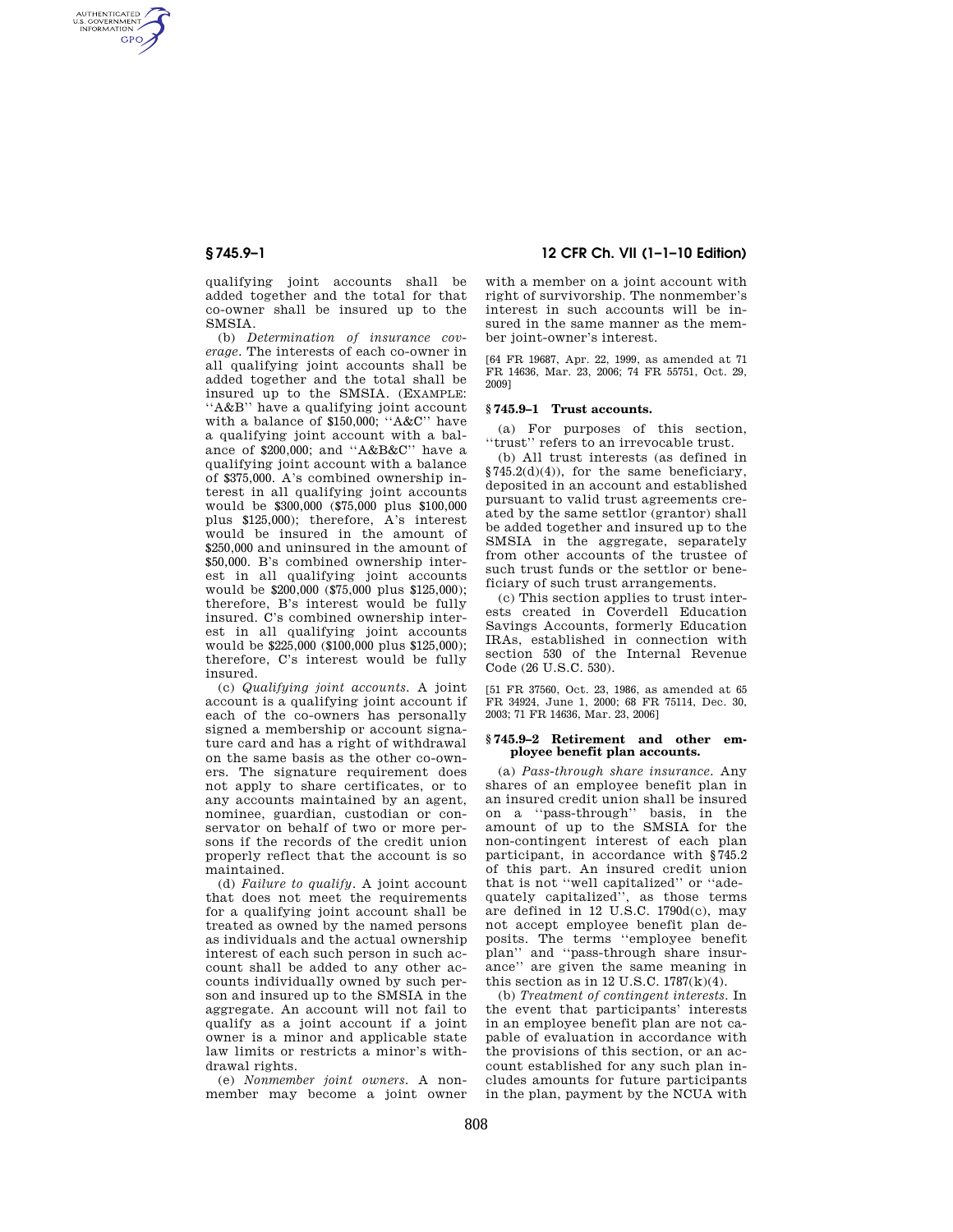AUTHENTICATED<br>U.S. GOVERNMENT<br>INFORMATION **GPO** 

> qualifying joint accounts shall be added together and the total for that co-owner shall be insured up to the SMSIA.

> (b) *Determination of insurance coverage.* The interests of each co-owner in all qualifying joint accounts shall be added together and the total shall be insured up to the SMSIA. (EXAMPLE: ''A&B'' have a qualifying joint account with a balance of \$150,000; ''A&C'' have a qualifying joint account with a balance of \$200,000; and ''A&B&C'' have a qualifying joint account with a balance of \$375,000. A's combined ownership interest in all qualifying joint accounts would be \$300,000 (\$75,000 plus \$100,000 plus \$125,000); therefore, A's interest would be insured in the amount of \$250,000 and uninsured in the amount of \$50,000. B's combined ownership interest in all qualifying joint accounts would be \$200,000 (\$75,000 plus \$125,000); therefore, B's interest would be fully insured. C's combined ownership interest in all qualifying joint accounts would be \$225,000 (\$100,000 plus \$125,000); therefore, C's interest would be fully insured.

(c) *Qualifying joint accounts.* A joint account is a qualifying joint account if each of the co-owners has personally signed a membership or account signature card and has a right of withdrawal on the same basis as the other co-owners. The signature requirement does not apply to share certificates, or to any accounts maintained by an agent, nominee, guardian, custodian or conservator on behalf of two or more persons if the records of the credit union properly reflect that the account is so maintained.

(d) *Failure to qualify.* A joint account that does not meet the requirements for a qualifying joint account shall be treated as owned by the named persons as individuals and the actual ownership interest of each such person in such account shall be added to any other accounts individually owned by such person and insured up to the SMSIA in the aggregate. An account will not fail to qualify as a joint account if a joint owner is a minor and applicable state law limits or restricts a minor's withdrawal rights.

(e) *Nonmember joint owners.* A nonmember may become a joint owner

# **§ 745.9–1 12 CFR Ch. VII (1–1–10 Edition)**

with a member on a joint account with right of survivorship. The nonmember's interest in such accounts will be insured in the same manner as the member joint-owner's interest.

[64 FR 19687, Apr. 22, 1999, as amended at 71 FR 14636, Mar. 23, 2006; 74 FR 55751, Oct. 29, 2009]

## **§ 745.9–1 Trust accounts.**

(a) For purposes of this section, ''trust'' refers to an irrevocable trust.

(b) All trust interests (as defined in §745.2(d)(4)), for the same beneficiary, deposited in an account and established pursuant to valid trust agreements created by the same settlor (grantor) shall be added together and insured up to the SMSIA in the aggregate, separately from other accounts of the trustee of such trust funds or the settlor or beneficiary of such trust arrangements.

(c) This section applies to trust interests created in Coverdell Education Savings Accounts, formerly Education IRAs, established in connection with section 530 of the Internal Revenue Code (26 U.S.C. 530).

[51 FR 37560, Oct. 23, 1986, as amended at 65 FR 34924, June 1, 2000; 68 FR 75114, Dec. 30, 2003; 71 FR 14636, Mar. 23, 2006]

#### **§ 745.9–2 Retirement and other employee benefit plan accounts.**

(a) *Pass-through share insurance.* Any shares of an employee benefit plan in an insured credit union shall be insured on a ''pass-through'' basis, in the amount of up to the SMSIA for the non-contingent interest of each plan participant, in accordance with §745.2 of this part. An insured credit union that is not ''well capitalized'' or ''adequately capitalized'', as those terms are defined in 12 U.S.C. 1790d(c), may not accept employee benefit plan deposits. The terms ''employee benefit plan'' and ''pass-through share insurance'' are given the same meaning in this section as in 12 U.S.C.  $1787(k)(4)$ .

(b) *Treatment of contingent interests.* In the event that participants' interests in an employee benefit plan are not capable of evaluation in accordance with the provisions of this section, or an account established for any such plan includes amounts for future participants in the plan, payment by the NCUA with